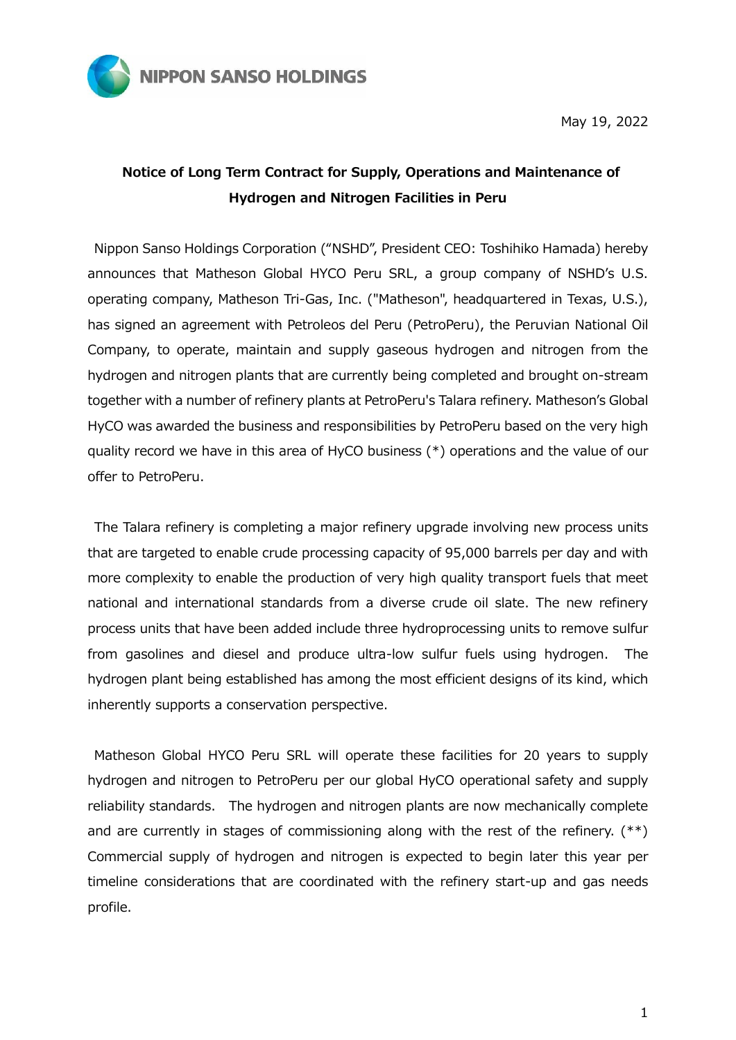

May 19, 2022

## **Notice of Long Term Contract for Supply, Operations and Maintenance of Hydrogen and Nitrogen Facilities in Peru**

Nippon Sanso Holdings Corporation ("NSHD", President CEO: Toshihiko Hamada) hereby announces that Matheson Global HYCO Peru SRL, a group company of NSHD's U.S. operating company, Matheson Tri-Gas, Inc. ("Matheson", headquartered in Texas, U.S.), has signed an agreement with Petroleos del Peru (PetroPeru), the Peruvian National Oil Company, to operate, maintain and supply gaseous hydrogen and nitrogen from the hydrogen and nitrogen plants that are currently being completed and brought on-stream together with a number of refinery plants at PetroPeru's Talara refinery. Matheson's Global HyCO was awarded the business and responsibilities by PetroPeru based on the very high quality record we have in this area of HyCO business (\*) operations and the value of our offer to PetroPeru.

The Talara refinery is completing a major refinery upgrade involving new process units that are targeted to enable crude processing capacity of 95,000 barrels per day and with more complexity to enable the production of very high quality transport fuels that meet national and international standards from a diverse crude oil slate. The new refinery process units that have been added include three hydroprocessing units to remove sulfur from gasolines and diesel and produce ultra-low sulfur fuels using hydrogen. The hydrogen plant being established has among the most efficient designs of its kind, which inherently supports a conservation perspective.

Matheson Global HYCO Peru SRL will operate these facilities for 20 years to supply hydrogen and nitrogen to PetroPeru per our global HyCO operational safety and supply reliability standards. The hydrogen and nitrogen plants are now mechanically complete and are currently in stages of commissioning along with the rest of the refinery. (\*\*) Commercial supply of hydrogen and nitrogen is expected to begin later this year per timeline considerations that are coordinated with the refinery start-up and gas needs profile.